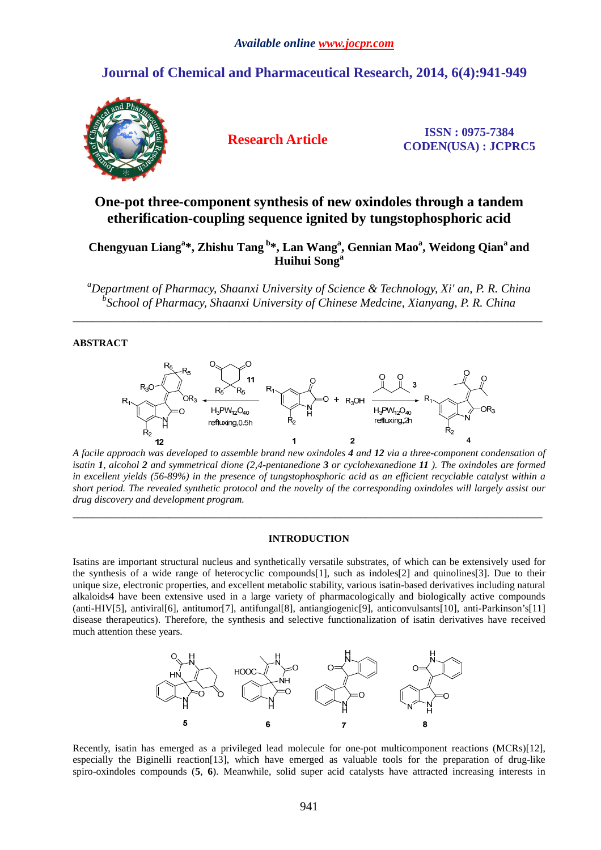# **Journal of Chemical and Pharmaceutical Research, 2014, 6(4):941-949**



**Research Article ISSN : 0975-7384 CODEN(USA) : JCPRC5**

# **One-pot three-component synthesis of new oxindoles through a tandem etherification-coupling sequence ignited by tungstophosphoric acid**

# **Chengyuan Liang<sup>a</sup> \*, Zhishu Tang<sup>b</sup>\*, Lan Wang<sup>a</sup> , Gennian Mao<sup>a</sup> , Weidong Qian<sup>a</sup>and Huihui Song<sup>a</sup>**

*<sup>a</sup>Department of Pharmacy, Shaanxi University of Science & Technology, Xi' an, P. R. China b School of Pharmacy, Shaanxi University of Chinese Medcine, Xianyang, P. R. China* 

 $\overline{a}$  , and the contribution of the contribution of the contribution of the contribution of the contribution of the contribution of the contribution of the contribution of the contribution of the contribution of the co

# **ABSTRACT**



*A facile approach was developed to assemble brand new oxindoles 4 and 12 via a three-component condensation of isatin 1, alcohol 2 and symmetrical dione (2,4-pentanedione 3 or cyclohexanedione 11 ). The oxindoles are formed in excellent yields (56-89%) in the presence of tungstophosphoric acid as an efficient recyclable catalyst within a short period. The revealed synthetic protocol and the novelty of the corresponding oxindoles will largely assist our drug discovery and development program.* 

### **INTRODUCTION**

\_\_\_\_\_\_\_\_\_\_\_\_\_\_\_\_\_\_\_\_\_\_\_\_\_\_\_\_\_\_\_\_\_\_\_\_\_\_\_\_\_\_\_\_\_\_\_\_\_\_\_\_\_\_\_\_\_\_\_\_\_\_\_\_\_\_\_\_\_\_\_\_\_\_\_\_\_\_\_\_\_\_\_\_\_\_\_\_\_\_\_\_\_

Isatins are important structural nucleus and synthetically versatile substrates, of which can be extensively used for the synthesis of a wide range of heterocyclic compounds[1], such as indoles[2] and quinolines[3]. Due to their unique size, electronic properties, and excellent metabolic stability, various isatin-based derivatives including natural alkaloids4 have been extensive used in a large variety of pharmacologically and biologically active compounds (anti-HIV[5], antiviral[6], antitumor[7], antifungal[8], antiangiogenic[9], anticonvulsants[10], anti-Parkinson's[11] disease therapeutics). Therefore, the synthesis and selective functionalization of isatin derivatives have received much attention these years.



Recently, isatin has emerged as a privileged lead molecule for one-pot multicomponent reactions (MCRs)[12], especially the Biginelli reaction[13], which have emerged as valuable tools for the preparation of drug-like spiro-oxindoles compounds (**5**, **6**). Meanwhile, solid super acid catalysts have attracted increasing interests in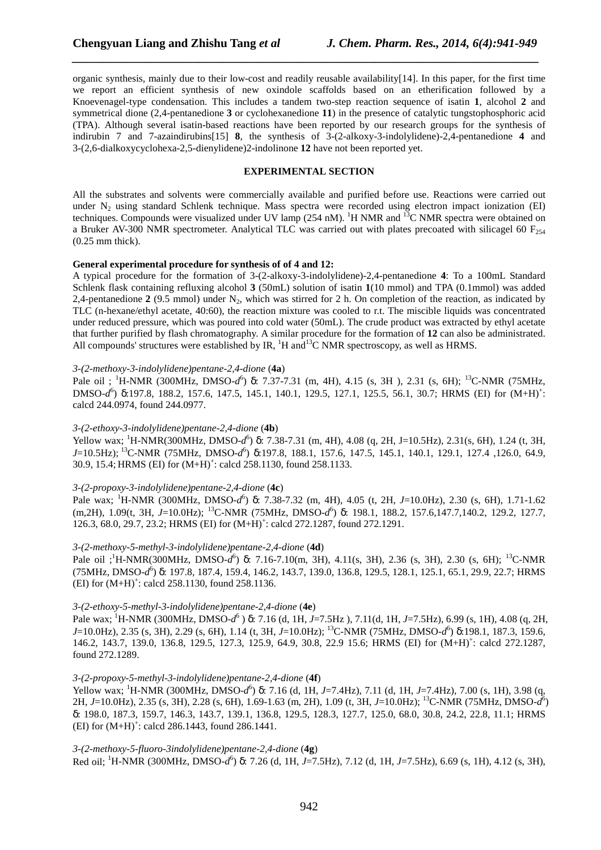organic synthesis, mainly due to their low-cost and readily reusable availability[14]. In this paper, for the first time we report an efficient synthesis of new oxindole scaffolds based on an etherification followed by a Knoevenagel-type condensation. This includes a tandem two-step reaction sequence of isatin **1**, alcohol **2** and symmetrical dione (2,4-pentanedione **3** or cyclohexanedione **11**) in the presence of catalytic tungstophosphoric acid (TPA). Although several isatin-based reactions have been reported by our research groups for the synthesis of indirubin 7 and 7-azaindirubins[15] **8**, the synthesis of 3-(2-alkoxy-3-indolylidene)-2,4-pentanedione **4** and 3-(2,6-dialkoxycyclohexa-2,5-dienylidene)2-indolinone **12** have not been reported yet.

*\_\_\_\_\_\_\_\_\_\_\_\_\_\_\_\_\_\_\_\_\_\_\_\_\_\_\_\_\_\_\_\_\_\_\_\_\_\_\_\_\_\_\_\_\_\_\_\_\_\_\_\_\_\_\_\_\_\_\_\_\_\_\_\_\_\_\_\_\_\_\_\_\_\_\_\_\_*

# **EXPERIMENTAL SECTION**

All the substrates and solvents were commercially available and purified before use. Reactions were carried out under  $N<sub>2</sub>$  using standard Schlenk technique. Mass spectra were recorded using electron impact ionization (EI) techniques. Compounds were visualized under UV lamp (254 nM). <sup>1</sup>H NMR and <sup>13</sup>C NMR spectra were obtained on a Bruker AV-300 NMR spectrometer. Analytical TLC was carried out with plates precoated with silicagel 60 F<sub>254</sub> (0.25 mm thick).

#### **General experimental procedure for synthesis of of 4 and 12:**

A typical procedure for the formation of 3-(2-alkoxy-3-indolylidene)-2,4-pentanedione **4**: To a 100mL Standard Schlenk flask containing refluxing alcohol **3** (50mL) solution of isatin **1**(10 mmol) and TPA (0.1mmol) was added 2,4-pentanedione  $2(9.5 \text{ mmol})$  under N<sub>2</sub>, which was stirred for 2 h. On completion of the reaction, as indicated by TLC (n-hexane/ethyl acetate, 40:60), the reaction mixture was cooled to r.t. The miscible liquids was concentrated under reduced pressure, which was poured into cold water (50mL). The crude product was extracted by ethyl acetate that further purified by flash chromatography. A similar procedure for the formation of **12** can also be administrated. All compounds' structures were established by IR,  ${}^{1}H$  and  ${}^{13}C$  NMR spectroscopy, as well as HRMS.

### *3-(2-methoxy-3-indolylidene)pentane-2,4-dione* (**4a**)

Pale oil; <sup>1</sup>H-NMR (300MHz, DMSO-*d*<sup>6</sup>) δ: 7.37-7.31 (m, 4H), 4.15 (s, 3H), 2.31 (s, 6H); <sup>13</sup>C-NMR (75MHz, DMSO-*d*<sup>6</sup>) δ:197.8, 188.2, 157.6, 147.5, 145.1, 140.1, 129.5, 127.1, 125.5, 56.1, 30.7; HRMS (EI) for (M+H)<sup>+</sup>: calcd 244.0974, found 244.0977.

#### *3-(2-ethoxy-3-indolylidene)pentane-2,4-dione* (**4b**)

Yellow wax; <sup>1</sup>H-NMR(300MHz, DMSO-*d*<sup>6</sup>) δ: 7.38-7.31 (m, 4H), 4.08 (q, 2H, J=10.5Hz), 2.31(s, 6H), 1.24 (t, 3H, *J*=10.5Hz);<sup>13</sup>C-NMR (75MHz, DMSO-*d* 6 ) δ:197.8, 188.1, 157.6, 147.5, 145.1, 140.1, 129.1, 127.4 ,126.0, 64.9, 30.9, 15.4; HRMS (EI) for  $(M+H)^+$ : calcd 258.1130, found 258.1133.

# *3-(2-propoxy-3-indolylidene)pentane-2,4-dione* (**4c**)

Pale wax; <sup>1</sup>H-NMR (300MHz, DMSO-*d*<sup>6</sup>) δ: 7.38-7.32 (m, 4H), 4.05 (t, 2H, *J*=10.0Hz), 2.30 (s, 6H), 1.71-1.62 (m,2H), 1.09(t, 3H, *J*=10.0Hz); <sup>13</sup>C-NMR (75MHz, DMSO-*d* 6 ) δ: 198.1, 188.2, 157.6,147.7,140.2, 129.2, 127.7, 126.3, 68.0, 29.7, 23.2; HRMS (EI) for  $(M+H)^+$ : calcd 272.1287, found 272.1291.

### *3-(2-methoxy-5-methyl-3-indolylidene)pentane-2,4-dione* (**4d**)

Pale oil ;<sup>1</sup>H-NMR(300MHz, DMSO-*d*<sup>6</sup>) δ: 7.16-7.10(m, 3H), 4.11(s, 3H), 2.36 (s, 3H), 2.30 (s, 6H); <sup>13</sup>C-NMR (75MHz, DMSO-*d* 6 ) δ: 197.8, 187.4, 159.4, 146.2, 143.7, 139.0, 136.8, 129.5, 128.1, 125.1, 65.1, 29.9, 22.7; HRMS  $(EI)$  for  $(M+H)^+$ : calcd 258.1130, found 258.1136.

## *3-(2-ethoxy-5-methyl-3-indolylidene)pentane-2,4-dione* (**4e**)

Pale wax; <sup>1</sup>H-NMR (300MHz, DMSO-*d*<sup>6</sup>) δ: 7.16 (d, 1H, *J*=7.5Hz), 7.11(d, 1H, *J*=7.5Hz), 6.99 (s, 1H), 4.08 (q, 2H, *J*=10.0Hz), 2.35 (s, 3H), 2.29 (s, 6H), 1.14 (t, 3H, *J*=10.0Hz); <sup>13</sup>C-NMR (75MHz, DMSO-*d* 6 ) δ:198.1, 187.3, 159.6, 146.2, 143.7, 139.0, 136.8, 129.5, 127.3, 125.9, 64.9, 30.8, 22.9 15.6; HRMS (EI) for  $(M+H)^+$ : calcd 272.1287, found 272.1289.

### *3-(2-propoxy-5-methyl-3-indolylidene)pentane-2,4-dione* (**4f**)

Yellow wax; <sup>1</sup>H-NMR (300MHz, DMSO-*d* 6 ) δ: 7.16 (d, 1H, *J*=7.4Hz), 7.11 (d, 1H, *J*=7.4Hz), 7.00 (s, 1H), 3.98 (q, 2H, *J*=10.0Hz), 2.35 (s, 3H), 2.28 (s, 6H), 1.69-1.63 (m, 2H), 1.09 (t, 3H, *J*=10.0Hz); <sup>13</sup>C-NMR (75MHz, DMSO-*d* 6 ) δ: 198.0, 187.3, 159.7, 146.3, 143.7, 139.1, 136.8, 129.5, 128.3, 127.7, 125.0, 68.0, 30.8, 24.2, 22.8, 11.1; HRMS  $(EI)$  for  $(M+H)^+$ : calcd 286.1443, found 286.1441.

*3-(2-methoxy-5-fluoro-3indolylidene)pentane-2,4-dione* (**4g**) Red oil; <sup>1</sup>H-NMR (300MHz, DMSO-*d*<sup>6</sup>) δ: 7.26 (d, 1H, *J*=7.5Hz), 7.12 (d, 1H, *J*=7.5Hz), 6.69 (s, 1H), 4.12 (s, 3H),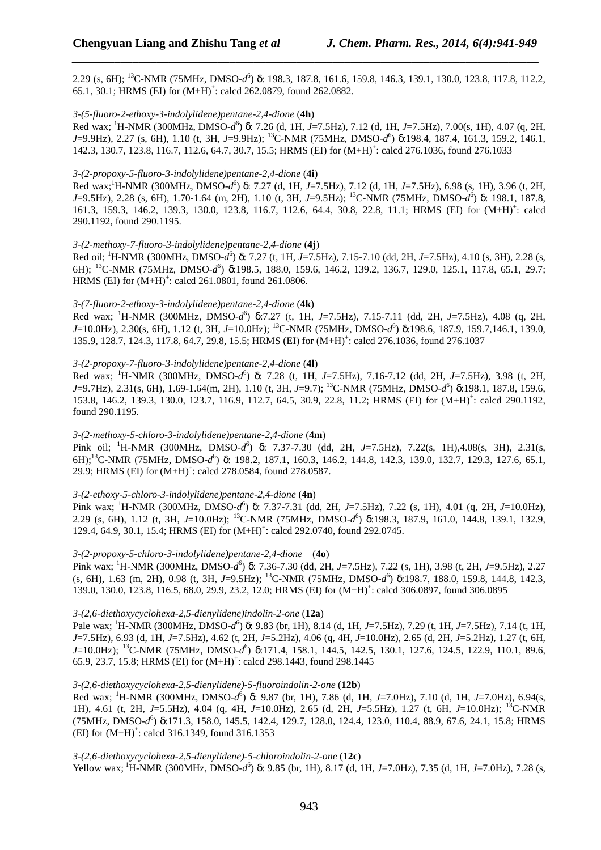2.29 (s, 6H); <sup>13</sup>C-NMR (75MHz, DMSO-*d* 6 ) δ: 198.3, 187.8, 161.6, 159.8, 146.3, 139.1, 130.0, 123.8, 117.8, 112.2, 65.1, 30.1; HRMS (EI) for  $(M+H)^+$ : calcd 262.0879, found 262.0882.

*\_\_\_\_\_\_\_\_\_\_\_\_\_\_\_\_\_\_\_\_\_\_\_\_\_\_\_\_\_\_\_\_\_\_\_\_\_\_\_\_\_\_\_\_\_\_\_\_\_\_\_\_\_\_\_\_\_\_\_\_\_\_\_\_\_\_\_\_\_\_\_\_\_\_\_\_\_*

#### *3-(5-fluoro-2-ethoxy-3-indolylidene)pentane-2,4-dione* (**4h**)

Red wax; <sup>1</sup>H-NMR (300MHz, DMSO-*d*<sup>6</sup>) δ: 7.26 (d, 1H, *J*=7.5Hz), 7.12 (d, 1H, *J*=7.5Hz), 7.00(s, 1H), 4.07 (q, 2H, *J*=9.9Hz), 2.27 (s, 6H), 1.10 (t, 3H, *J*=9.9Hz); <sup>13</sup>C-NMR (75MHz, DMSO-*d* 6 ) δ:198.4, 187.4, 161.3, 159.2, 146.1, 142.3, 130.7, 123.8, 116.7, 112.6, 64.7, 30.7, 15.5; HRMS (EI) for  $(M+H)^+$ : calcd 276.1036, found 276.1033

### *3-(2-propoxy-5-fluoro-3-indolylidene)pentane-2,4-dione* (**4i**)

Red wax;<sup>1</sup>H-NMR (300MHz, DMSO-*d*<sup>6</sup>) δ: 7.27 (d, 1H, *J*=7.5Hz), 7.12 (d, 1H, *J*=7.5Hz), 6.98 (s, 1H), 3.96 (t, 2H, *J*=9.5Hz), 2.28 (s, 6H), 1.70-1.64 (m, 2H), 1.10 (t, 3H, *J*=9.5Hz); <sup>13</sup>C-NMR (75MHz, DMSO-*d* 6 ) δ: 198.1, 187.8, 161.3, 159.3, 146.2, 139.3, 130.0, 123.8, 116.7, 112.6, 64.4, 30.8, 22.8, 11.1; HRMS (EI) for (M+H)<sup>+</sup>: calcd 290.1192, found 290.1195.

### *3-(2-methoxy-7-fluoro-3-indolylidene)pentane-2,4-dione* (**4j**)

Red oil; <sup>1</sup>H-NMR (300MHz, DMSO-*d*<sup>6</sup>) δ: 7.27 (t, 1H, *J*=7.5Hz), 7.15-7.10 (dd, 2H, *J*=7.5Hz), 4.10 (s, 3H), 2.28 (s, 6H); <sup>13</sup>C-NMR (75MHz, DMSO-*d*<sup>6</sup>) δ:198.5, 188.0, 159.6, 146.2, 139.2, 136.7, 129.0, 125.1, 117.8, 65.1, 29.7; HRMS (EI) for  $(M+H)^+$ : calcd 261.0801, found 261.0806.

### *3-(7-fluoro-2-ethoxy-3-indolylidene)pentane-2,4-dione* (**4k**)

Red wax; <sup>1</sup>H-NMR (300MHz, DMSO-d<sup>6</sup>) δ:7.27 (t, 1H, *J*=7.5Hz), 7.15-7.11 (dd, 2H, *J*=7.5Hz), 4.08 (q, 2H, *J*=10.0Hz), 2.30(s, 6H), 1.12 (t, 3H, *J*=10.0Hz); <sup>13</sup>C-NMR (75MHz, DMSO-*d* 6 ) δ:198.6, 187.9, 159.7,146.1, 139.0, 135.9, 128.7, 124.3, 117.8, 64.7, 29.8, 15.5; HRMS (EI) for  $(M+H)^+$ : calcd 276.1036, found 276.1037

### *3-(2-propoxy-7-fluoro-3-indolylidene)pentane-2,4-dione* (**4l**)

Red wax; <sup>1</sup>H-NMR (300MHz, DMSO-*d* 6 ) δ: 7.28 (t, 1H, *J*=7.5Hz), 7.16-7.12 (dd, 2H, *J*=7.5Hz), 3.98 (t, 2H, *J*=9.7Hz), 2.31(s, 6H), 1.69-1.64(m, 2H), 1.10 (t, 3H, *J*=9.7); <sup>13</sup>C-NMR (75MHz, DMSO-*d* 6 ) δ:198.1, 187.8, 159.6, 153.8, 146.2, 139.3, 130.0, 123.7, 116.9, 112.7, 64.5, 30.9, 22.8, 11.2; HRMS (EI) for  $(M+H)^+$ : calcd 290.1192, found 290.1195.

## *3-(2-methoxy-5-chloro-3-indolylidene)pentane-2,4-dione* (**4m**)

Pink oil; <sup>1</sup>H-NMR (300MHz, DMSO-*d* 6 ) δ: 7.37-7.30 (dd, 2H, *J*=7.5Hz), 7.22(s, 1H),4.08(s, 3H), 2.31(s, 6H);<sup>13</sup>C-NMR (75MHz, DMSO-*d*<sup>6</sup>) δ: 198.2, 187.1, 160.3, 146.2, 144.8, 142.3, 139.0, 132.7, 129.3, 127.6, 65.1, 29.9; HRMS (EI) for  $(M+H)^+$ : calcd 278.0584, found 278.0587.

## *3-(2-ethoxy-5-chloro-3-indolylidene)pentane-2,4-dione* (**4n**)

Pink wax; <sup>1</sup>H-NMR (300MHz, DMSO-*d*<sup>6</sup>) δ: 7.37-7.31 (dd, 2H, *J*=7.5Hz), 7.22 (s, 1H), 4.01 (q, 2H, *J*=10.0Hz), 2.29 (s, 6H), 1.12 (t, 3H, *J*=10.0Hz); <sup>13</sup>C-NMR (75MHz, DMSO-*d* 6 ) δ:198.3, 187.9, 161.0, 144.8, 139.1, 132.9, 129.4, 64.9, 30.1, 15.4; HRMS (EI) for  $(M+H)^+$ : calcd 292.0740, found 292.0745.

#### *3-(2-propoxy-5-chloro-3-indolylidene)pentane-2,4-dione* (**4o**)

Pink wax; <sup>1</sup>H-NMR (300MHz, DMSO-*d* 6 ) δ: 7.36-7.30 (dd, 2H, *J*=7.5Hz), 7.22 (s, 1H), 3.98 (t, 2H, *J*=9.5Hz), 2.27 (s, 6H), 1.63 (m, 2H), 0.98 (t, 3H, *J*=9.5Hz); <sup>13</sup>C-NMR (75MHz, DMSO-*d* 6 ) δ:198.7, 188.0, 159.8, 144.8, 142.3, 139.0, 130.0, 123.8, 116.5, 68.0, 29.9, 23.2, 12.0; HRMS (EI) for  $(M+H)^{+}$ : calcd 306.0897, found 306.0895

#### *3-(2,6-diethoxycyclohexa-2,5-dienylidene)indolin-2-one* (**12a**)

Pale wax; <sup>1</sup>H-NMR (300MHz, DMSO-*d*<sup>6</sup>) δ: 9.83 (br, 1H), 8.14 (d, 1H, *J*=7.5Hz), 7.29 (t, 1H, *J*=7.5Hz), 7.14 (t, 1H, *J*=7.5Hz), 6.93 (d, 1H, *J*=7.5Hz), 4.62 (t, 2H, *J*=5.2Hz), 4.06 (q, 4H, *J*=10.0Hz), 2.65 (d, 2H, *J*=5.2Hz), 1.27 (t, 6H, *J*=10.0Hz); <sup>13</sup>C-NMR (75MHz, DMSO-*d*<sup>6</sup>) δ:171.4, 158.1, 144.5, 142.5, 130.1, 127.6, 124.5, 122.9, 110.1, 89.6, 65.9, 23.7, 15.8; HRMS (EI) for  $(M+H)^+$ : calcd 298.1443, found 298.1445

#### *3-(2,6-diethoxycyclohexa-2,5-dienylidene)-5-fluoroindolin-2-one* (**12b**)

Red wax; <sup>1</sup>H-NMR (300MHz, DMSO-*d*<sup>6</sup>) δ: 9.87 (br, 1H), 7.86 (d, 1H, *J*=7.0Hz), 7.10 (d, 1H, *J*=7.0Hz), 6.94(s, 1H), 4.61 (t, 2H, *J*=5.5Hz), 4.04 (q, 4H, *J*=10.0Hz), 2.65 (d, 2H, *J*=5.5Hz), 1.27 (t, 6H, *J*=10.0Hz); <sup>13</sup>C-NMR (75MHz, DMSO-*d* 6 ) δ:171.3, 158.0, 145.5, 142.4, 129.7, 128.0, 124.4, 123.0, 110.4, 88.9, 67.6, 24.1, 15.8; HRMS  $(EI)$  for  $(M+H)^+$ : calcd 316.1349, found 316.1353

#### *3-(2,6-diethoxycyclohexa-2,5-dienylidene)-5-chloroindolin-2-one* (**12c**)

Yellow wax; <sup>1</sup>H-NMR (300MHz, DMSO-*d*<sup>6</sup>) δ: 9.85 (br, 1H), 8.17 (d, 1H, *J*=7.0Hz), 7.35 (d, 1H, *J*=7.0Hz), 7.28 (s,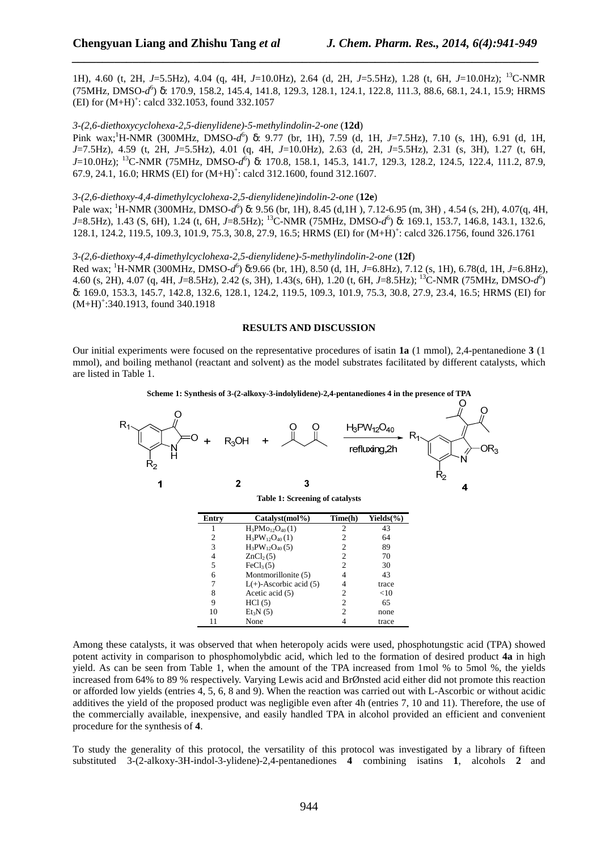1H), 4.60 (t, 2H, *J*=5.5Hz), 4.04 (q, 4H, *J*=10.0Hz), 2.64 (d, 2H, *J*=5.5Hz), 1.28 (t, 6H, *J*=10.0Hz); <sup>13</sup>C-NMR (75MHz, DMSO-*d* 6 ) δ: 170.9, 158.2, 145.4, 141.8, 129.3, 128.1, 124.1, 122.8, 111.3, 88.6, 68.1, 24.1, 15.9; HRMS  $(EI)$  for  $(M+H)^+$ : calcd 332.1053, found 332.1057

*\_\_\_\_\_\_\_\_\_\_\_\_\_\_\_\_\_\_\_\_\_\_\_\_\_\_\_\_\_\_\_\_\_\_\_\_\_\_\_\_\_\_\_\_\_\_\_\_\_\_\_\_\_\_\_\_\_\_\_\_\_\_\_\_\_\_\_\_\_\_\_\_\_\_\_\_\_*

#### *3-(2,6-diethoxycyclohexa-2,5-dienylidene)-5-methylindolin-2-one* (**12d**)

Pink wax;<sup>1</sup>H-NMR (300MHz, DMSO-*d*<sup>6</sup>) δ: 9.77 (br, 1H), 7.59 (d, 1H, *J*=7.5Hz), 7.10 (s, 1H), 6.91 (d, 1H, *J*=7.5Hz), 4.59 (t, 2H, *J*=5.5Hz), 4.01 (q, 4H, *J*=10.0Hz), 2.63 (d, 2H, *J*=5.5Hz), 2.31 (s, 3H), 1.27 (t, 6H, *J*=10.0Hz); <sup>13</sup>C-NMR (75MHz, DMSO-*d* 6 ) δ: 170.8, 158.1, 145.3, 141.7, 129.3, 128.2, 124.5, 122.4, 111.2, 87.9, 67.9, 24.1, 16.0; HRMS (EI) for  $(M+H)^+$ : calcd 312.1600, found 312.1607.

#### *3-(2,6-diethoxy-4,4-dimethylcyclohexa-2,5-dienylidene)indolin-2-one* (**12e**)

Pale wax; <sup>1</sup>H-NMR (300MHz, DMSO-*d*<sup>6</sup>) δ: 9.56 (br, 1H), 8.45 (d,1H), 7.12-6.95 (m, 3H), 4.54 (s, 2H), 4.07(q, 4H, *J*=8.5Hz), 1.43 (S, 6H), 1.24 (t, 6H, *J*=8.5Hz); <sup>13</sup>C-NMR (75MHz, DMSO-*d* 6 ) δ: 169.1, 153.7, 146.8, 143.1, 132.6, 128.1, 124.2, 119.5, 109.3, 101.9, 75.3, 30.8, 27.9, 16.5; HRMS (EI) for  $(M+H)^+$ : calcd 326.1756, found 326.1761

*3-(2,6-diethoxy-4,4-dimethylcyclohexa-2,5-dienylidene)-5-methylindolin-2-one* (**12f**)

Red wax; <sup>1</sup>H-NMR (300MHz, DMSO-*d*<sup>6</sup>) δ:9.66 (br, 1H), 8.50 (d, 1H, *J*=6.8Hz), 7.12 (s, 1H), 6.78(d, 1H, *J*=6.8Hz), 4.60 (s, 2H), 4.07 (q, 4H, *J*=8.5Hz), 2.42 (s, 3H), 1.43(s, 6H), 1.20 (t, 6H, *J*=8.5Hz); <sup>13</sup>C-NMR (75MHz, DMSO-*d* 6 ) δ: 169.0, 153.3, 145.7, 142.8, 132.6, 128.1, 124.2, 119.5, 109.3, 101.9, 75.3, 30.8, 27.9, 23.4, 16.5; HRMS (EI) for  $(M+H)^{+}$ :340.1913, found 340.1918

#### **RESULTS AND DISCUSSION**

Our initial experiments were focused on the representative procedures of isatin **1a** (1 mmol), 2,4-pentanedione **3** (1 mmol), and boiling methanol (reactant and solvent) as the model substrates facilitated by different catalysts, which are listed in Table 1.



**Scheme 1: Synthesis of 3-(2-alkoxy-3-indolylidene)-2,4-pentanediones 4 in the presence of TPA** 

Among these catalysts, it was observed that when heteropoly acids were used, phosphotungstic acid (TPA) showed potent activity in comparison to phosphomolybdic acid, which led to the formation of desired product **4a** in high yield. As can be seen from Table 1, when the amount of the TPA increased from 1mol % to 5mol %, the yields increased from 64% to 89 % respectively. Varying Lewis acid and BrØnsted acid either did not promote this reaction or afforded low yields (entries 4, 5, 6, 8 and 9). When the reaction was carried out with L-Ascorbic or without acidic additives the yield of the proposed product was negligible even after 4h (entries 7, 10 and 11). Therefore, the use of the commercially available, inexpensive, and easily handled TPA in alcohol provided an efficient and convenient procedure for the synthesis of **4**.

To study the generality of this protocol, the versatility of this protocol was investigated by a library of fifteen substituted 3-(2-alkoxy-3H-indol-3-ylidene)-2,4-pentanediones **4** combining isatins **1**, alcohols **2** and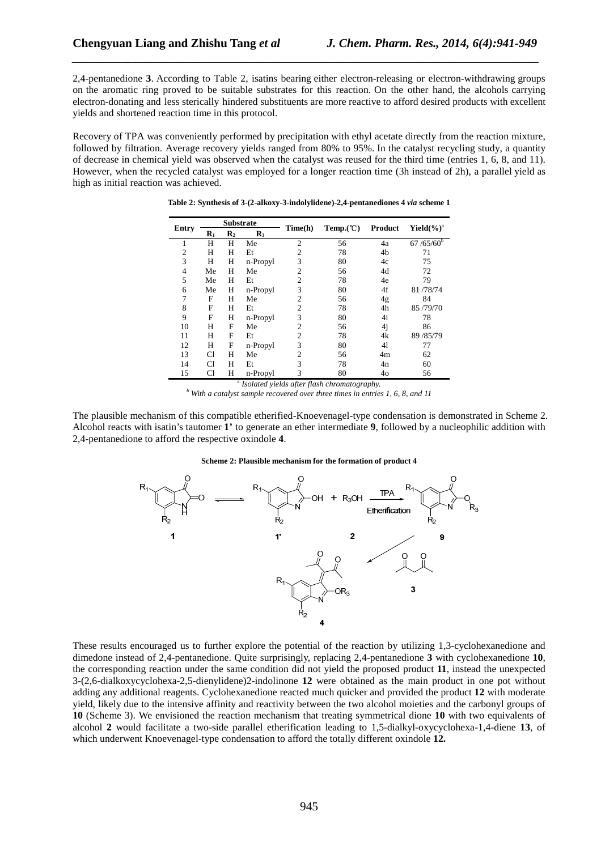2,4-pentanedione **3**. According to Table 2, isatins bearing either electron-releasing or electron-withdrawing groups on the aromatic ring proved to be suitable substrates for this reaction. On the other hand, the alcohols carrying electron-donating and less sterically hindered substituents are more reactive to afford desired products with excellent yields and shortened reaction time in this protocol.

*\_\_\_\_\_\_\_\_\_\_\_\_\_\_\_\_\_\_\_\_\_\_\_\_\_\_\_\_\_\_\_\_\_\_\_\_\_\_\_\_\_\_\_\_\_\_\_\_\_\_\_\_\_\_\_\_\_\_\_\_\_\_\_\_\_\_\_\_\_\_\_\_\_\_\_\_\_*

Recovery of TPA was conveniently performed by precipitation with ethyl acetate directly from the reaction mixture, followed by filtration. Average recovery yields ranged from 80% to 95%. In the catalyst recycling study, a quantity of decrease in chemical yield was observed when the catalyst was reused for the third time (entries 1, 6, 8, and 11). However, when the recycled catalyst was employed for a longer reaction time (3h instead of 2h), a parallel yield as high as initial reaction was achieved.

| Entry          | <b>Substrate</b> |                |                |                |          |         |                  |
|----------------|------------------|----------------|----------------|----------------|----------|---------|------------------|
|                | $\mathbf{R}_1$   | $\mathbf{R}_2$ | $\mathbf{R}_3$ | Time(h)        | Temp.(C) | Product | Yield $(\%)^a$   |
|                | Н                | Н              | Me             | $\overline{2}$ | 56       | 4a      | $67 / 65 / 60^b$ |
| $\overline{2}$ | Н                | Н              | Et             | $\overline{2}$ | 78       | 4b      | 71               |
| 3              | Н                | Н              | n-Propyl       | 3              | 80       | 4c      | 75               |
| 4              | Me               | H              | Me             | 2              | 56       | 4d      | 72               |
| 5              | Me               | Н              | Et             | $\overline{2}$ | 78       | 4e      | 79               |
| 6              | Me               | H              | n-Propyl       | 3              | 80       | 4f      | 81/78/74         |
| 7              | F                | Н              | Me             | $\overline{2}$ | 56       | 4g      | 84               |
| 8              | F                | H              | Et             | $\overline{2}$ | 78       | 4h      | 85/79/70         |
| 9              | F                | Н              | n-Propyl       | 3              | 80       | 4i      | 78               |
| 10             | Н                | F              | Me             | $\overline{2}$ | 56       | 4j      | 86               |
| 11             | Н                | F              | Et             | $\overline{2}$ | 78       | 4k      | 89 / 85/79       |
| 12             | Н                | F              | n-Propyl       | 3              | 80       | 41      | 77               |
| 13             | C1               | Н              | Me             | $\overline{2}$ | 56       | 4m      | 62               |
| 14             | C1               | Н              | Et             | 3              | 78       | 4n      | 60               |
| 15             | C1               | Н              | n-Propyl       | 3              | 80       | 40      | 56               |

**Table 2: Synthesis of 3-(2-alkoxy-3-indolylidene)-2,4-pentanediones 4** *via* **scheme 1** 

a *Isolated yields after flash chromatography.* 

<sup>*b*</sup> With a catalyst sample recovered over three times in entries 1, 6, 8, and 11

The plausible mechanism of this compatible etherified-Knoevenagel-type condensation is demonstrated in Scheme 2. Alcohol reacts with isatin's tautomer **1'** to generate an ether intermediate **9**, followed by a nucleophilic addition with 2,4-pentanedione to afford the respective oxindole **4**.

#### **Scheme 2: Plausible mechanism for the formation of product 4**



These results encouraged us to further explore the potential of the reaction by utilizing 1,3-cyclohexanedione and dimedone instead of 2,4-pentanedione. Quite surprisingly, replacing 2,4-pentanedione **3** with cyclohexanedione **10**, the corresponding reaction under the same condition did not yield the proposed product **11**, instead the unexpected 3-(2,6-dialkoxycyclohexa-2,5-dienylidene)2-indolinone **12** were obtained as the main product in one pot without adding any additional reagents. Cyclohexanedione reacted much quicker and provided the product **12** with moderate yield, likely due to the intensive affinity and reactivity between the two alcohol moieties and the carbonyl groups of **10** (Scheme 3). We envisioned the reaction mechanism that treating symmetrical dione **10** with two equivalents of alcohol **2** would facilitate a two-side parallel etherification leading to 1,5-dialkyl-oxycyclohexa-1,4-diene **13**, of which underwent Knoevenagel-type condensation to afford the totally different oxindole **12.**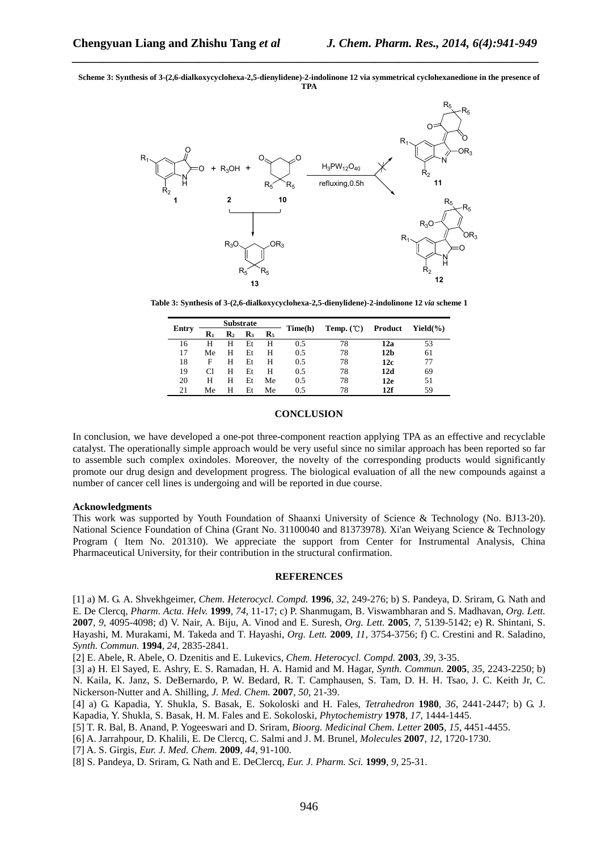**Scheme 3: Synthesis of 3-(2,6-dialkoxycyclohexa-2,5-dienylidene)-2-indolinone 12 via symmetrical cyclohexanedione in the presence of TPA** 

*\_\_\_\_\_\_\_\_\_\_\_\_\_\_\_\_\_\_\_\_\_\_\_\_\_\_\_\_\_\_\_\_\_\_\_\_\_\_\_\_\_\_\_\_\_\_\_\_\_\_\_\_\_\_\_\_\_\_\_\_\_\_\_\_\_\_\_\_\_\_\_\_\_\_\_\_\_*



**Table 3: Synthesis of 3-(2,6-dialkoxycyclohexa-2,5-dienylidene)-2-indolinone 12** *via* **scheme 1** 

| Entry | <b>Substrate</b> |                |                |                | Time(h) |             |                 | $Yield(\%)$ |
|-------|------------------|----------------|----------------|----------------|---------|-------------|-----------------|-------------|
|       | $\mathbf{R}_1$   | $\mathbf{R}_2$ | $\mathbf{R}_3$ | $\mathbf{R}_5$ |         | Temp. $(C)$ | Product         |             |
| 16    | н                | Н              | Et             | н              | 0.5     | 78          | 12a             | 53          |
| 17    | Me               | н              | Et             | н              | 0.5     | 78          | 12 <sub>b</sub> | 61          |
| 18    | F                | н              | Et             | н              | 0.5     | 78          | 12c             | 77          |
| 19    |                  | н              | Et             | н              | 0.5     | 78          | 12d             | 69          |
| 20    | н                | Н              | Et             | Me             | 0.5     | 78          | 12e             | 51          |
| 21    | Мe               | н              | Et             | Me             | 0.5     | 78          | 12f             | 59          |

### **CONCLUSION**

In conclusion, we have developed a one-pot three-component reaction applying TPA as an effective and recyclable catalyst. The operationally simple approach would be very useful since no similar approach has been reported so far to assemble such complex oxindoles. Moreover, the novelty of the corresponding products would significantly promote our drug design and development progress. The biological evaluation of all the new compounds against a number of cancer cell lines is undergoing and will be reported in due course.

#### **Acknowledgments**

This work was supported by Youth Foundation of Shaanxi University of Science & Technology (No. BJ13-20). National Science Foundation of China (Grant No. 31100040 and 81373978). Xi'an Weiyang Science & Technology Program ( Item No. 201310). We appreciate the support from Center for Instrumental Analysis, China Pharmaceutical University, for their contribution in the structural confirmation.

#### **REFERENCES**

[1] a) M. G. A. Shvekhgeimer, *Chem. Heterocycl. Compd.* **1996**, *32*, 249-276; b) S. Pandeya, D. Sriram, G. Nath and E. De Clercq, *Pharm. Acta. Helv.* **1999**, *74*, 11-17; c) P. Shanmugam, B. Viswambharan and S. Madhavan, *Org. Lett.*  **2007**, *9*, 4095-4098; d) V. Nair, A. Biju, A. Vinod and E. Suresh, *Org. Lett.* **2005**, *7*, 5139-5142; e) R. Shintani, S. Hayashi, M. Murakami, M. Takeda and T. Hayashi, *Org. Lett.* **2009**, *11*, 3754-3756; f) C. Crestini and R. Saladino, *Synth. Commun.* **1994**, *24*, 2835-2841.

[2] E. Abele, R. Abele, O. Dzenitis and E. Lukevics, *Chem. Heterocycl. Compd.* **2003**, *39*, 3-35.

[3] a) H. El Sayed, E. Ashry, E. S. Ramadan, H. A. Hamid and M. Hagar, *Synth. Commun.* **2005**, *35*, 2243-2250; b) N. Kaila, K. Janz, S. DeBernardo, P. W. Bedard, R. T. Camphausen, S. Tam, D. H. H. Tsao, J. C. Keith Jr, C. Nickerson-Nutter and A. Shilling, *J. Med. Chem.* **2007**, *50*, 21-39.

[4] a) G. Kapadia, Y. Shukla, S. Basak, E. Sokoloski and H. Fales, *Tetrahedron* **1980**, *36*, 2441-2447; b) G. J. Kapadia, Y. Shukla, S. Basak, H. M. Fales and E. Sokoloski, *Phytochemistry* **1978**, *17*, 1444-1445.

- [5] T. R. Bal, B. Anand, P. Yogeeswari and D. Sriram, *Bioorg. Medicinal Chem. Letter* **2005**, *15*, 4451-4455.
- [6] A. Jarrahpour, D. Khalili, E. De Clercq, C. Salmi and J. M. Brunel, *Molecules* **2007**, *12*, 1720-1730.
- [7] A. S. Girgis, *Eur. J. Med. Chem.* **2009**, *44*, 91-100.
- [8] S. Pandeya, D. Sriram, G. Nath and E. DeClercq, *Eur. J. Pharm. Sci.* **1999**, *9*, 25-31.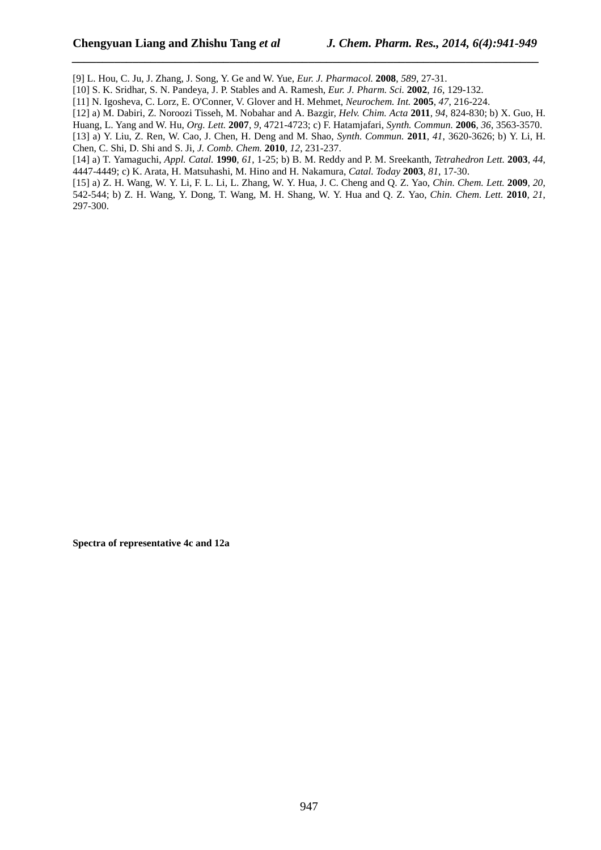[9] L. Hou, C. Ju, J. Zhang, J. Song, Y. Ge and W. Yue, *Eur. J. Pharmacol.* **2008**, *589*, 27-31.

[10] S. K. Sridhar, S. N. Pandeya, J. P. Stables and A. Ramesh, *Eur. J. Pharm. Sci.* **2002**, *16*, 129-132.

[11] N. Igosheva, C. Lorz, E. O'Conner, V. Glover and H. Mehmet, *Neurochem. Int.* **2005**, *47*, 216-224.

[12] a) M. Dabiri, Z. Noroozi Tisseh, M. Nobahar and A. Bazgir, *Helv. Chim. Acta* **2011**, *94*, 824-830; b) X. Guo, H.

*\_\_\_\_\_\_\_\_\_\_\_\_\_\_\_\_\_\_\_\_\_\_\_\_\_\_\_\_\_\_\_\_\_\_\_\_\_\_\_\_\_\_\_\_\_\_\_\_\_\_\_\_\_\_\_\_\_\_\_\_\_\_\_\_\_\_\_\_\_\_\_\_\_\_\_\_\_*

Huang, L. Yang and W. Hu, *Org. Lett.* **2007**, *9*, 4721-4723; c) F. Hatamjafari, *Synth. Commun.* **2006**, *36*, 3563-3570.

[13] a) Y. Liu, Z. Ren, W. Cao, J. Chen, H. Deng and M. Shao, *Synth. Commun.* **2011**, *41*, 3620-3626; b) Y. Li, H. Chen, C. Shi, D. Shi and S. Ji, *J. Comb. Chem.* **2010**, *12*, 231-237.

[14] a) T. Yamaguchi, *Appl. Catal.* **1990**, *61*, 1-25; b) B. M. Reddy and P. M. Sreekanth, *Tetrahedron Lett.* **2003**, *44*, 4447-4449; c) K. Arata, H. Matsuhashi, M. Hino and H. Nakamura, *Catal. Today* **2003**, *81*, 17-30.

[15] a) Z. H. Wang, W. Y. Li, F. L. Li, L. Zhang, W. Y. Hua, J. C. Cheng and Q. Z. Yao, *Chin. Chem. Lett.* **2009**, *20*, 542-544; b) Z. H. Wang, Y. Dong, T. Wang, M. H. Shang, W. Y. Hua and Q. Z. Yao, *Chin. Chem. Lett.* **2010**, *21*, 297-300.

**Spectra of representative 4c and 12a**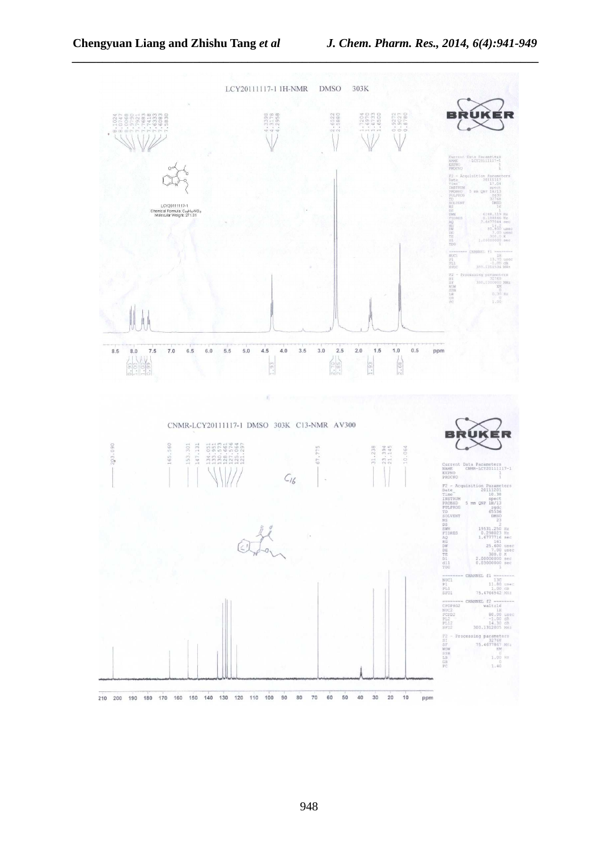